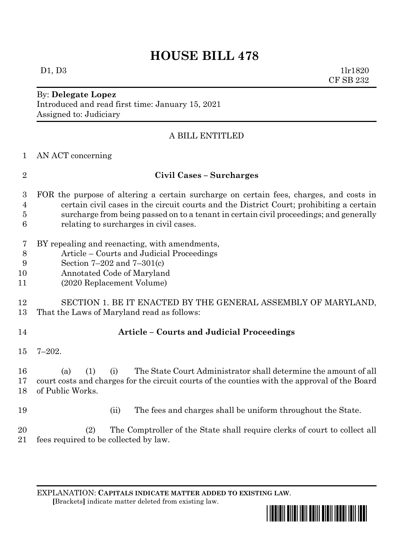# **HOUSE BILL 478**

 $D1, D3$  1lr1820 CF SB 232

#### By: **Delegate Lopez** Introduced and read first time: January 15, 2021 Assigned to: Judiciary

## A BILL ENTITLED

AN ACT concerning

### **Civil Cases – Surcharges**

- FOR the purpose of altering a certain surcharge on certain fees, charges, and costs in certain civil cases in the circuit courts and the District Court; prohibiting a certain surcharge from being passed on to a tenant in certain civil proceedings; and generally relating to surcharges in civil cases.
- BY repealing and reenacting, with amendments,
- Article Courts and Judicial Proceedings
- Section 7–202 and 7–301(c)
- Annotated Code of Maryland
- (2020 Replacement Volume)
- SECTION 1. BE IT ENACTED BY THE GENERAL ASSEMBLY OF MARYLAND, That the Laws of Maryland read as follows:
- 

# **Article – Courts and Judicial Proceedings**

- 7–202.
- (a) (1) (i) The State Court Administrator shall determine the amount of all court costs and charges for the circuit courts of the counties with the approval of the Board of Public Works.
- (ii) The fees and charges shall be uniform throughout the State.

 (2) The Comptroller of the State shall require clerks of court to collect all fees required to be collected by law.

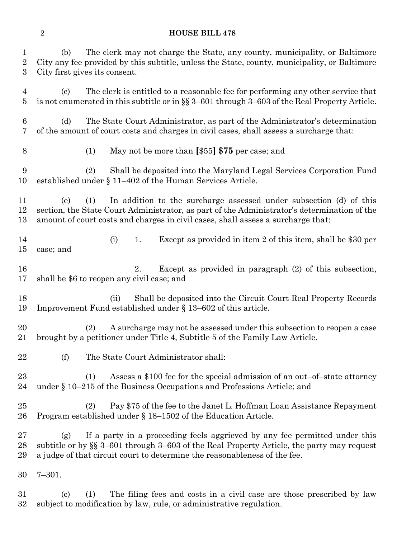#### **HOUSE BILL 478**

 (b) The clerk may not charge the State, any county, municipality, or Baltimore City any fee provided by this subtitle, unless the State, county, municipality, or Baltimore City first gives its consent.

 (c) The clerk is entitled to a reasonable fee for performing any other service that is not enumerated in this subtitle or in §§ 3–601 through 3–603 of the Real Property Article.

 (d) The State Court Administrator, as part of the Administrator's determination of the amount of court costs and charges in civil cases, shall assess a surcharge that:

(1) May not be more than **[**\$55**] \$75** per case; and

 (2) Shall be deposited into the Maryland Legal Services Corporation Fund established under § 11–402 of the Human Services Article.

 (e) (1) In addition to the surcharge assessed under subsection (d) of this section, the State Court Administrator, as part of the Administrator's determination of the amount of court costs and charges in civil cases, shall assess a surcharge that:

 (i) 1. Except as provided in item 2 of this item, shall be \$30 per case; and

 2. Except as provided in paragraph (2) of this subsection, shall be \$6 to reopen any civil case; and

 (ii) Shall be deposited into the Circuit Court Real Property Records Improvement Fund established under § 13–602 of this article.

 (2) A surcharge may not be assessed under this subsection to reopen a case brought by a petitioner under Title 4, Subtitle 5 of the Family Law Article.

(f) The State Court Administrator shall:

 (1) Assess a \$100 fee for the special admission of an out–of–state attorney under § 10–215 of the Business Occupations and Professions Article; and

 (2) Pay \$75 of the fee to the Janet L. Hoffman Loan Assistance Repayment Program established under § 18–1502 of the Education Article.

 (g) If a party in a proceeding feels aggrieved by any fee permitted under this subtitle or by §§ 3–601 through 3–603 of the Real Property Article, the party may request a judge of that circuit court to determine the reasonableness of the fee.

7–301.

 (c) (1) The filing fees and costs in a civil case are those prescribed by law subject to modification by law, rule, or administrative regulation.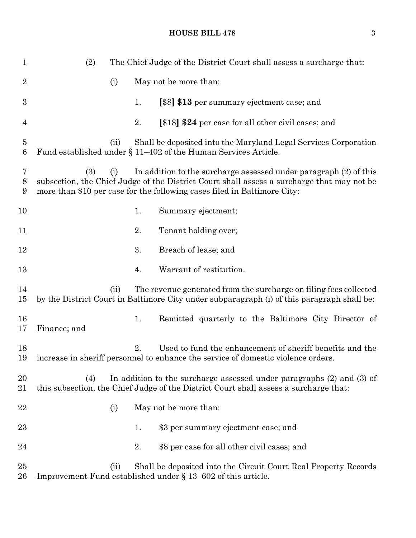### **HOUSE BILL 478** 3

| $\mathbf{1}$        | (2)                                                                                                                                                                                                                                                       |      |    | The Chief Judge of the District Court shall assess a surcharge that:                                                                                               |
|---------------------|-----------------------------------------------------------------------------------------------------------------------------------------------------------------------------------------------------------------------------------------------------------|------|----|--------------------------------------------------------------------------------------------------------------------------------------------------------------------|
| $\overline{2}$      |                                                                                                                                                                                                                                                           | (i)  |    | May not be more than:                                                                                                                                              |
| 3                   |                                                                                                                                                                                                                                                           |      | 1. | [\$8] \$13 per summary ejectment case; and                                                                                                                         |
| 4                   |                                                                                                                                                                                                                                                           |      | 2. | [\$18] \$24 per case for all other civil cases; and                                                                                                                |
| $\overline{5}$<br>6 |                                                                                                                                                                                                                                                           | (ii) |    | Shall be deposited into the Maryland Legal Services Corporation<br>Fund established under $\S 11-402$ of the Human Services Article.                               |
| 7<br>8<br>9         | (3)<br>In addition to the surcharge assessed under paragraph (2) of this<br>(i)<br>subsection, the Chief Judge of the District Court shall assess a surcharge that may not be<br>more than \$10 per case for the following cases filed in Baltimore City: |      |    |                                                                                                                                                                    |
| 10                  |                                                                                                                                                                                                                                                           |      | 1. | Summary ejectment;                                                                                                                                                 |
| 11                  |                                                                                                                                                                                                                                                           |      | 2. | Tenant holding over;                                                                                                                                               |
| 12                  |                                                                                                                                                                                                                                                           |      | 3. | Breach of lease; and                                                                                                                                               |
| 13                  |                                                                                                                                                                                                                                                           |      | 4. | Warrant of restitution.                                                                                                                                            |
| 14<br>$15\,$        |                                                                                                                                                                                                                                                           | (ii) |    | The revenue generated from the surcharge on filing fees collected<br>by the District Court in Baltimore City under subparagraph (i) of this paragraph shall be:    |
| 16<br>17            | Finance; and                                                                                                                                                                                                                                              |      | 1. | Remitted quarterly to the Baltimore City Director of                                                                                                               |
| 18<br>19            |                                                                                                                                                                                                                                                           |      | 2. | Used to fund the enhancement of sheriff benefits and the<br>increase in sheriff personnel to enhance the service of domestic violence orders.                      |
| 20<br>21            | (4)                                                                                                                                                                                                                                                       |      |    | In addition to the surcharge assessed under paragraphs $(2)$ and $(3)$ of<br>this subsection, the Chief Judge of the District Court shall assess a surcharge that: |
| 22                  |                                                                                                                                                                                                                                                           | (i)  |    | May not be more than:                                                                                                                                              |
| $23\,$              |                                                                                                                                                                                                                                                           |      | 1. | \$3 per summary ejectment case; and                                                                                                                                |
| 24                  |                                                                                                                                                                                                                                                           |      | 2. | \$8 per case for all other civil cases; and                                                                                                                        |
| 25<br>$26\,$        |                                                                                                                                                                                                                                                           | (ii) |    | Shall be deposited into the Circuit Court Real Property Records<br>Improvement Fund established under $\S$ 13–602 of this article.                                 |